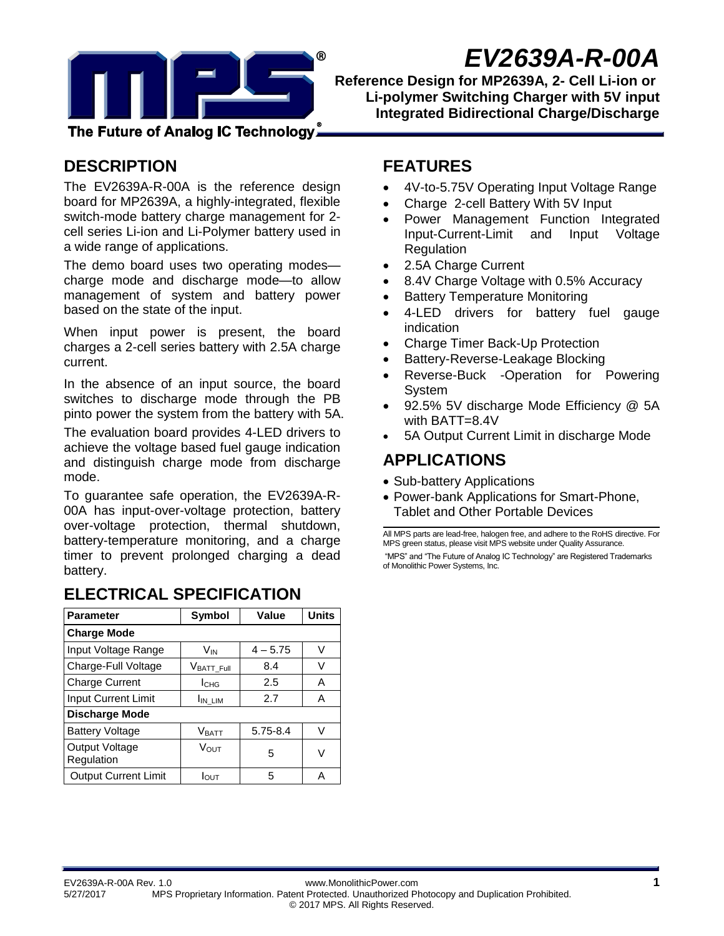

# *EV2639A-R-00A*

**Reference Design for MP2639A, 2- Cell Li-ion or Li-polymer Switching Charger with 5V input Integrated Bidirectional Charge/Discharge**

The Future of Analog IC Technology,

### **DESCRIPTION**

The EV2639A-R-00A is the reference design board for MP2639A, a highly-integrated, flexible switch-mode battery charge management for 2 cell series Li-ion and Li-Polymer battery used in a wide range of applications.

The demo board uses two operating modes charge mode and discharge mode—to allow management of system and battery power based on the state of the input.

When input power is present, the board charges a 2-cell series battery with 2.5A charge current.

In the absence of an input source, the board switches to discharge mode through the PB pinto power the system from the battery with 5A.

The evaluation board provides 4-LED drivers to achieve the voltage based fuel gauge indication and distinguish charge mode from discharge mode.

To guarantee safe operation, the EV2639A-R-00A has input-over-voltage protection, battery over-voltage protection, thermal shutdown, battery-temperature monitoring, and a charge timer to prevent prolonged charging a dead battery.

#### **Parameter Symbol Value Units Charge Mode** Input Voltage Range  $\vert$  V<sub>IN</sub>  $\vert$  4 – 5.75  $\vert$  V Charge-Full Voltage  $\vert$  V<sub>BATT\_Full</sub> 8.4  $\vert$  V Charge Current | I<sub>CHG</sub> | 2.5 | A  $Input Current Limit$   $\parallel$   $I_{IN\_LIM}$   $\parallel$  2.7  $\parallel$  A **Discharge Mode** Battery Voltage  $\vert$  V<sub>BATT</sub>  $\vert$  5.75-8.4  $\vert$  V Output Voltage Regulation <sup>V</sup>OUT <sup>5</sup> <sup>V</sup> Output Current Limit |  $I_{\text{OUT}}$  | 5 | A

## **ELECTRICAL SPECIFICATION**

### **FEATURES**

- 4V-to-5.75V Operating Input Voltage Range
- Charge 2-cell Battery With 5V Input
- Power Management Function Integrated Input-Current-Limit and Input Voltage **Regulation**
- 2.5A Charge Current
- 8.4V Charge Voltage with 0.5% Accuracy
- Battery Temperature Monitoring
- 4-LED drivers for battery fuel gauge indication
- Charge Timer Back-Up Protection
- Battery-Reverse-Leakage Blocking
- Reverse-Buck -Operation for Powering System
- 92.5% 5V discharge Mode Efficiency @ 5A with BATT=8.4V
- 5A Output Current Limit in discharge Mode

# **APPLICATIONS**

- Sub-battery Applications
- Power-bank Applications for Smart-Phone, Tablet and Other Portable Devices

All MPS parts are lead-free, halogen free, and adhere to the RoHS directive. For MPS green status, please visit MPS website under Quality Assurance. "MPS" and "The Future of Analog IC Technology" are Registered Trademarks of Monolithic Power Systems, Inc.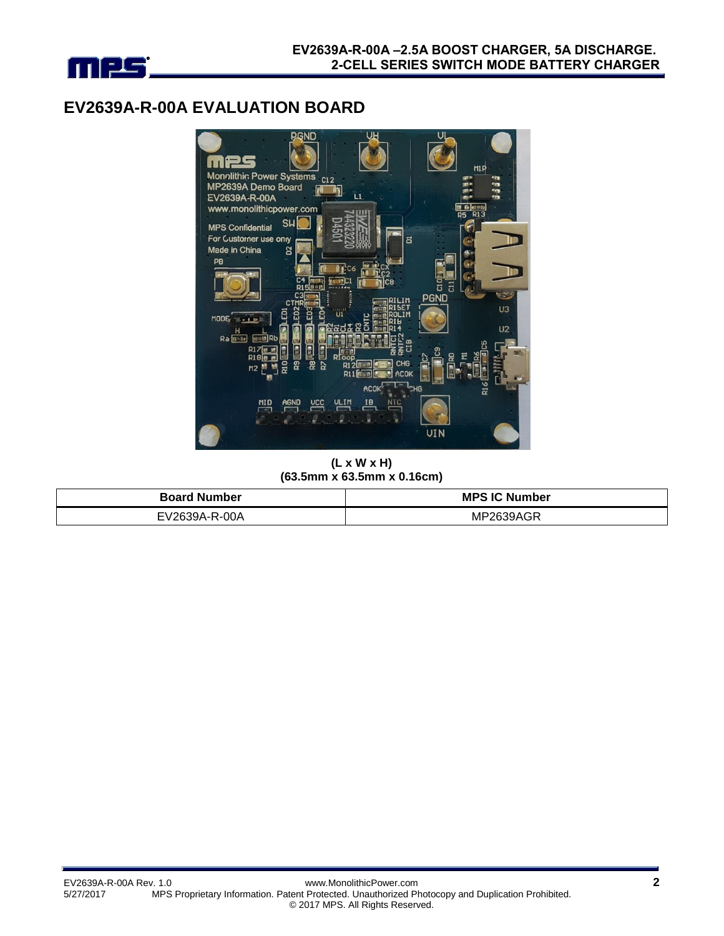

## **EV2639A-R-00A EVALUATION BOARD**



**(L x W x H) (63.5mm x 63.5mm x 0.16cm)**

| <b>Board Number</b> | <b>MPS IC Number</b> |
|---------------------|----------------------|
| EV2639A-R-00A       | MP2639AGR            |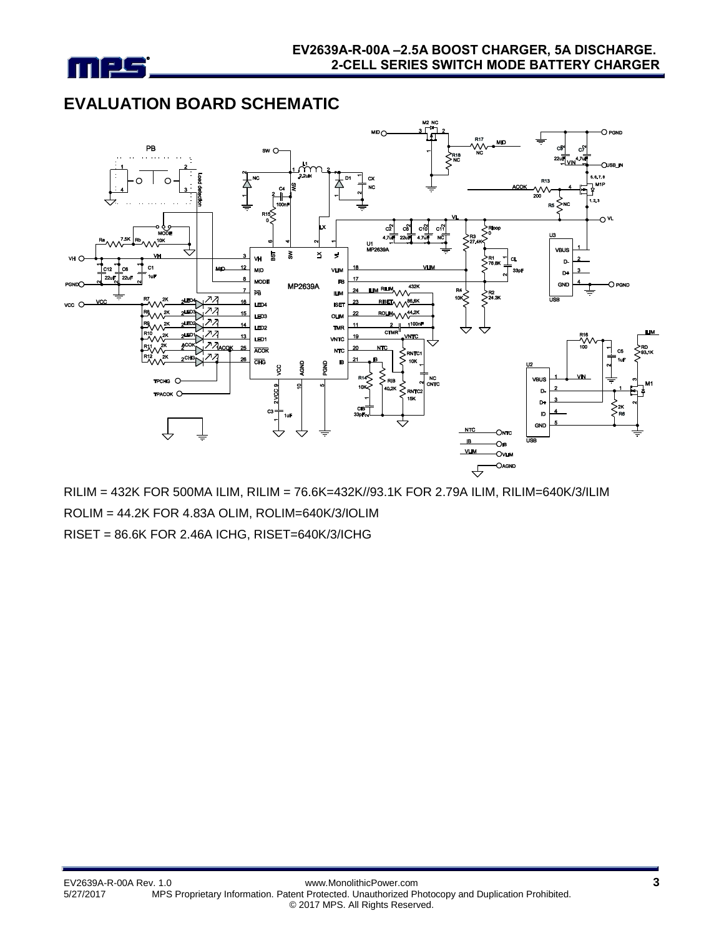

# **EVALUATION BOARD SCHEMATIC**



RILIM = 432K FOR 500MA ILIM, RILIM = 76.6K=432K//93.1K FOR 2.79A ILIM, RILIM=640K/3/ILIM ROLIM = 44.2K FOR 4.83A OLIM, ROLIM=640K/3/IOLIM RISET = 86.6K FOR 2.46A ICHG, RISET=640K/3/ICHG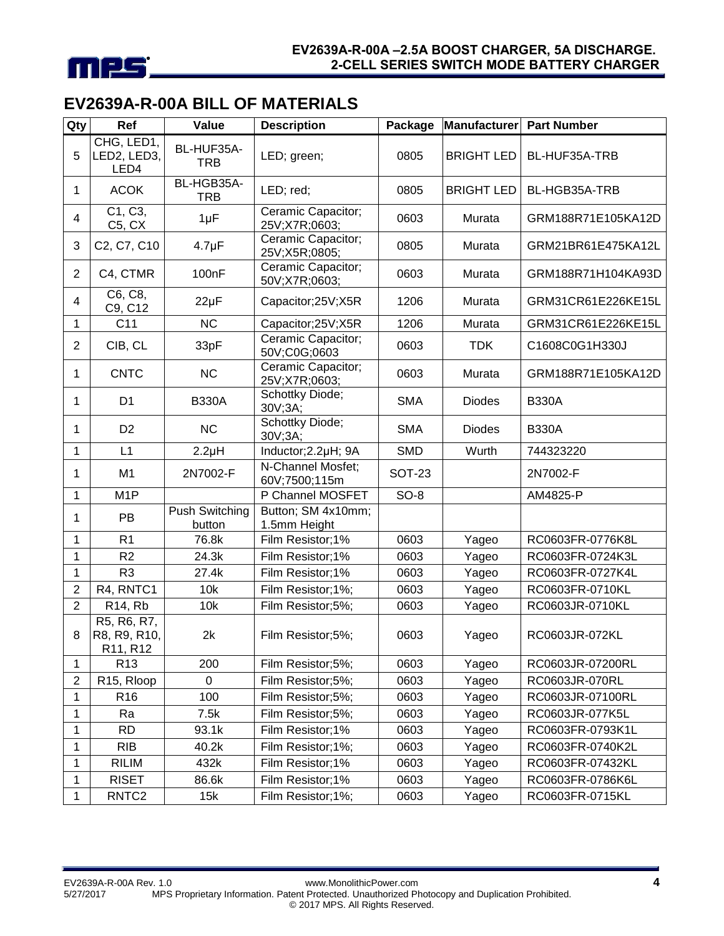

# **EV2639A-R-00A BILL OF MATERIALS**

| Qty            | Ref                                     | Value                           | <b>Description</b>                  | Package    | Manufacturer      | <b>Part Number</b> |
|----------------|-----------------------------------------|---------------------------------|-------------------------------------|------------|-------------------|--------------------|
| 5              | CHG, LED1,<br>LED2, LED3,<br>LED4       | BL-HUF35A-<br><b>TRB</b>        | LED; green;                         | 0805       | <b>BRIGHT LED</b> | BL-HUF35A-TRB      |
| 1              | <b>ACOK</b>                             | BL-HGB35A-<br><b>TRB</b>        | LED; red;                           | 0805       | <b>BRIGHT LED</b> | BL-HGB35A-TRB      |
| 4              | C1, C3,<br>C5, CX                       | $1\mu F$                        | Ceramic Capacitor;<br>25V;X7R;0603; | 0603       | Murata            | GRM188R71E105KA12D |
| 3              | C2, C7, C10                             | $4.7 \mu F$                     | Ceramic Capacitor;<br>25V;X5R;0805; | 0805       | Murata            | GRM21BR61E475KA12L |
| $\overline{2}$ | C4, CTMR                                | 100nF                           | Ceramic Capacitor;<br>50V;X7R;0603; | 0603       | Murata            | GRM188R71H104KA93D |
| $\overline{4}$ | C6, C8,<br>C9, C12                      | $22\mu F$                       | Capacitor;25V;X5R                   | 1206       | Murata            | GRM31CR61E226KE15L |
| 1              | C <sub>11</sub>                         | <b>NC</b>                       | Capacitor;25V;X5R                   | 1206       | Murata            | GRM31CR61E226KE15L |
| $\overline{2}$ | CIB, CL                                 | 33pF                            | Ceramic Capacitor;<br>50V;C0G;0603  | 0603       | <b>TDK</b>        | C1608C0G1H330J     |
| 1              | <b>CNTC</b>                             | <b>NC</b>                       | Ceramic Capacitor;<br>25V;X7R;0603; | 0603       | Murata            | GRM188R71E105KA12D |
| 1              | D <sub>1</sub>                          | <b>B330A</b>                    | Schottky Diode;<br>30V;3A;          | <b>SMA</b> | <b>Diodes</b>     | <b>B330A</b>       |
| 1              | D <sub>2</sub>                          | <b>NC</b>                       | Schottky Diode;<br>30V;3A;          | <b>SMA</b> | <b>Diodes</b>     | <b>B330A</b>       |
| 1              | L1                                      | $2.2\mu H$                      | Inductor; 2.2µH; 9A                 | <b>SMD</b> | Wurth             | 744323220          |
| 1              | M <sub>1</sub>                          | 2N7002-F                        | N-Channel Mosfet;<br>60V;7500;115m  | SOT-23     |                   | 2N7002-F           |
| 1              | M <sub>1</sub> P                        |                                 | P Channel MOSFET                    | $SO-8$     |                   | AM4825-P           |
| 1              | PB                                      | <b>Push Switching</b><br>button | Button; SM 4x10mm;<br>1.5mm Height  |            |                   |                    |
| 1              | R <sub>1</sub>                          | 76.8k                           | Film Resistor;1%                    | 0603       | Yageo             | RC0603FR-0776K8L   |
| 1              | R <sub>2</sub>                          | 24.3k                           | Film Resistor;1%                    | 0603       | Yageo             | RC0603FR-0724K3L   |
| 1              | R <sub>3</sub>                          | 27.4k                           | Film Resistor;1%                    | 0603       | Yageo             | RC0603FR-0727K4L   |
| $\overline{2}$ | R4, RNTC1                               | 10k                             | Film Resistor; 1%;                  | 0603       | Yageo             | RC0603FR-0710KL    |
| $\overline{2}$ | R14, Rb                                 | 10k                             | Film Resistor;5%;                   | 0603       | Yageo             | RC0603JR-0710KL    |
| 8              | R5, R6, R7,<br>R8, R9, R10,<br>R11, R12 | 2k                              | Film Resistor;5%;                   | 0603       | Yageo             | RC0603JR-072KL     |
| 1              | R <sub>13</sub>                         | 200                             | Film Resistor;5%;                   | 0603       | Yageo             | RC0603JR-07200RL   |
| $\overline{c}$ | R <sub>15</sub> , Rloop                 | 0                               | Film Resistor;5%;                   | 0603       | Yageo             | RC0603JR-070RL     |
| $\mathbf{1}$   | R <sub>16</sub>                         | 100                             | Film Resistor;5%;                   | 0603       | Yageo             | RC0603JR-07100RL   |
| 1              | Ra                                      | 7.5k                            | Film Resistor;5%;                   | 0603       | Yageo             | RC0603JR-077K5L    |
| 1              | <b>RD</b>                               | 93.1k                           | Film Resistor;1%                    | 0603       | Yageo             | RC0603FR-0793K1L   |
| 1              | <b>RIB</b>                              | 40.2k                           | Film Resistor; 1%;                  | 0603       | Yageo             | RC0603FR-0740K2L   |
| 1              | <b>RILIM</b>                            | 432k                            | Film Resistor;1%                    | 0603       | Yageo             | RC0603FR-07432KL   |
| 1              | <b>RISET</b>                            | 86.6k                           | Film Resistor;1%                    | 0603       | Yageo             | RC0603FR-0786K6L   |
| 1              | RNTC <sub>2</sub>                       | 15k                             | Film Resistor; 1%;                  | 0603       | Yageo             | RC0603FR-0715KL    |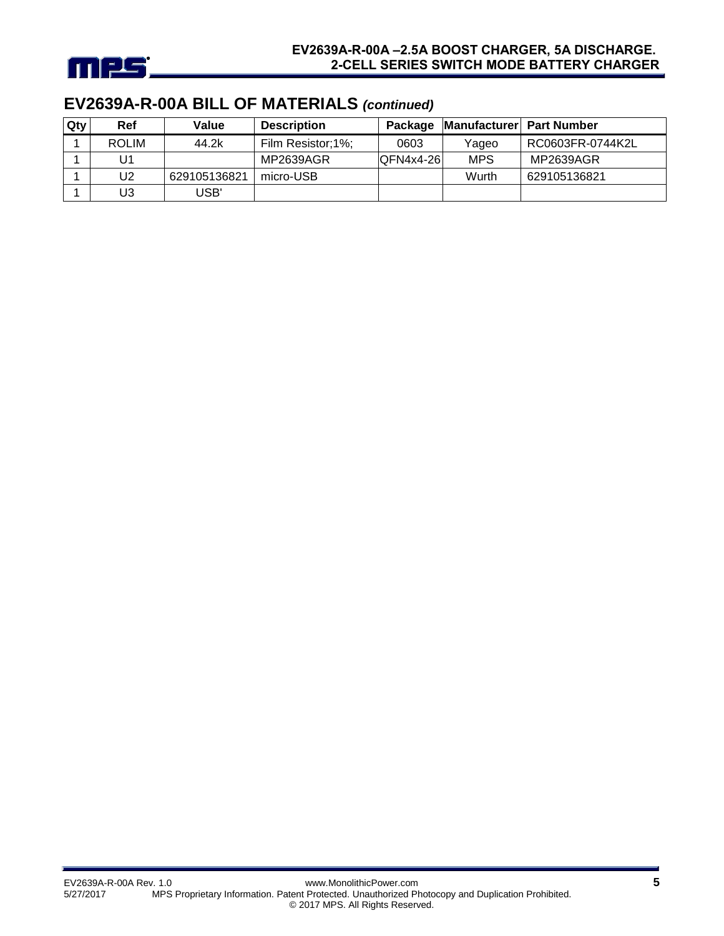

# **EV2639A-R-00A BILL OF MATERIALS** *(continued)*

| Qty | <b>Ref</b>   | Value        | <b>Description</b> | Package     | Manufacturer   Part Number |                  |
|-----|--------------|--------------|--------------------|-------------|----------------------------|------------------|
|     | <b>ROLIM</b> | 44.2k        | Film Resistor;1%;  | 0603        | Yaqeo                      | RC0603FR-0744K2L |
|     | U1           |              | MP2639AGR          | $OFN4x4-26$ | <b>MPS</b>                 | MP2639AGR        |
|     | U2           | 629105136821 | micro-USB          |             | Wurth                      | 629105136821     |
|     | U3           | USB'         |                    |             |                            |                  |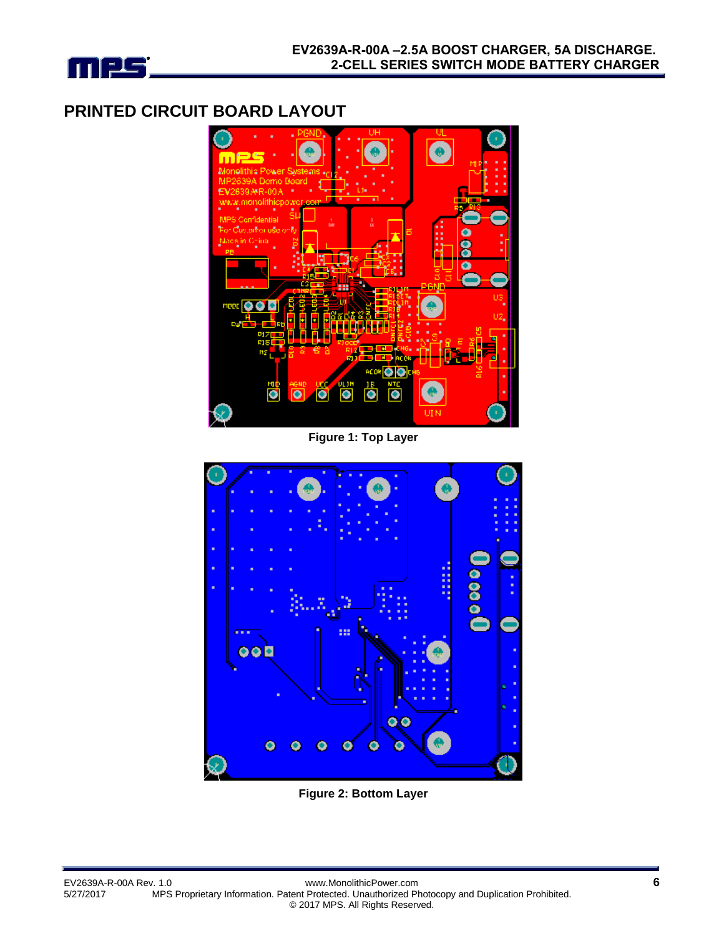

### **PRINTED CIRCUIT BOARD LAYOUT**



**Figure 1: Top Layer**



**Figure 2: Bottom Layer**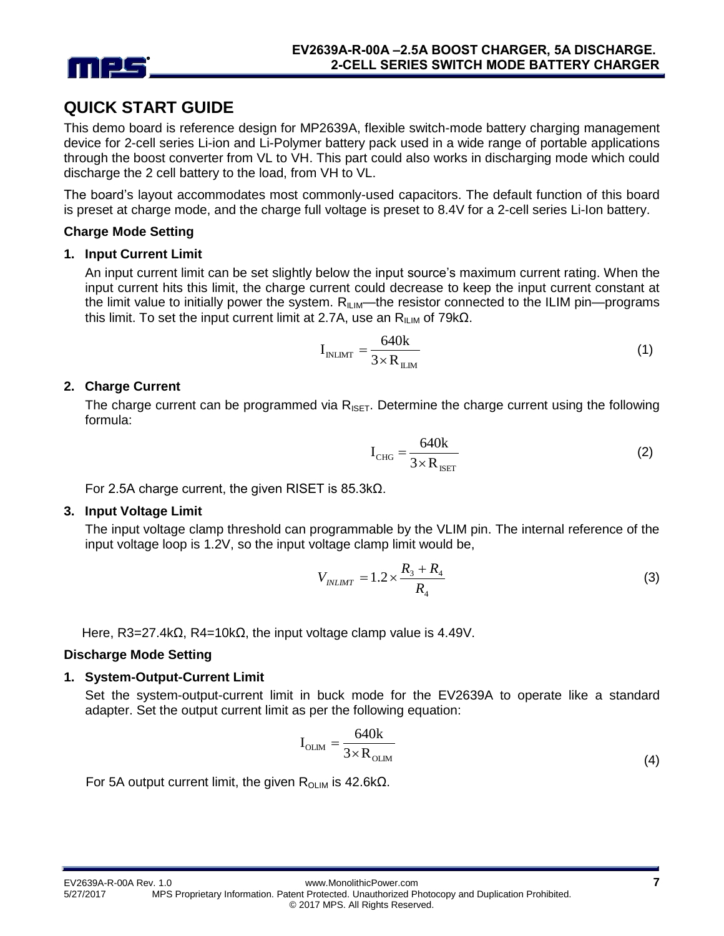

### **QUICK START GUIDE**

This demo board is reference design for MP2639A, flexible switch-mode battery charging management device for 2-cell series Li-ion and Li-Polymer battery pack used in a wide range of portable applications through the boost converter from VL to VH. This part could also works in discharging mode which could discharge the 2 cell battery to the load, from VH to VL.

The board's layout accommodates most commonly-used capacitors. The default function of this board is preset at charge mode, and the charge full voltage is preset to 8.4V for a 2-cell series Li-Ion battery.

#### **Charge Mode Setting**

#### **1. Input Current Limit**

An input current limit can be set slightly below the input source's maximum current rating. When the input current hits this limit, the charge current could decrease to keep the input current constant at the limit value to initially power the system.  $R_{\text{LIM}}$ —the resistor connected to the ILIM pin—programs this limit. To set the input current limit at 2.7A, use an  $R_{ILM}$  of 79kΩ.

$$
I_{\text{INLMT}} = \frac{640k}{3 \times R_{\text{ILM}}} \tag{1}
$$

#### **2. Charge Current**

The charge current can be programmed via  $R_{\text{ISFT}}$ . Determine the charge current using the following formula:

$$
I_{CHG} = \frac{640k}{3 \times R_{ISET}}\tag{2}
$$

For 2.5A charge current, the given RISET is 85.3kΩ.

#### **3. Input Voltage Limit**

The input voltage clamp threshold can programmable by the VLIM pin. The internal reference of the input voltage loop is 1.2V, so the input voltage clamp limit would be,

$$
V_{INLMT} = 1.2 \times \frac{R_3 + R_4}{R_4}
$$
 (3)

Here, R3=27.4k $\Omega$ , R4=10k $\Omega$ , the input voltage clamp value is 4.49V.

#### **Discharge Mode Setting**

#### **1. System-Output-Current Limit**

Set the system-output-current limit in buck mode for the EV2639A to operate like a standard adapter. Set the output current limit as per the following equation:

$$
I_{\text{OLIM}} = \frac{640k}{3 \times R_{\text{OLIM}}}
$$
\n(4)

For 5A output current limit, the given  $R_{OLIM}$  is 42.6kΩ.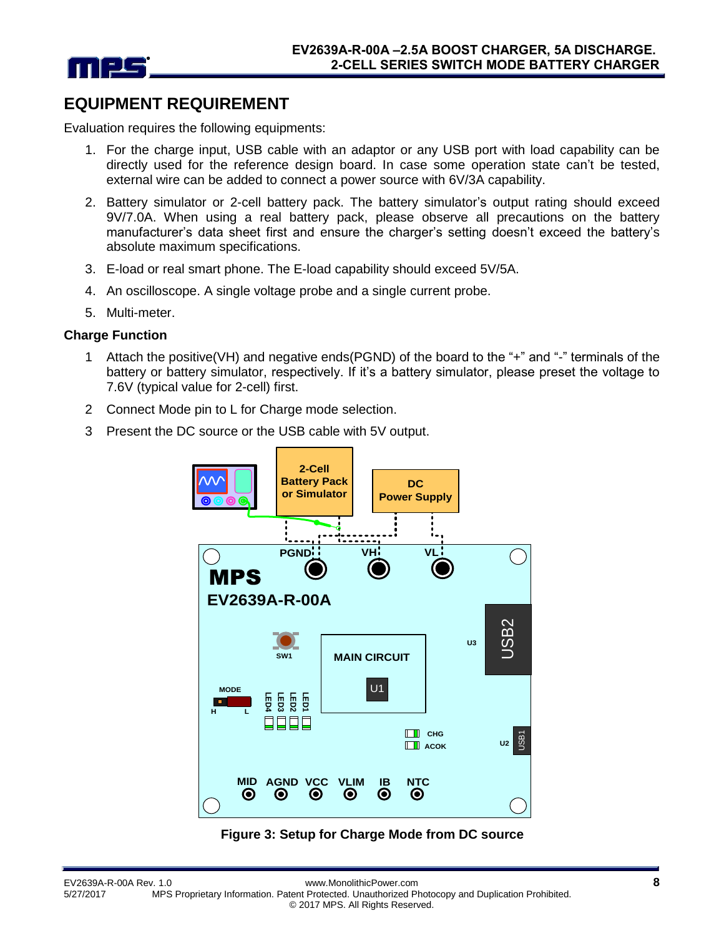

### **EQUIPMENT REQUIREMENT**

Evaluation requires the following equipments:

- 1. For the charge input, USB cable with an adaptor or any USB port with load capability can be directly used for the reference design board. In case some operation state can't be tested, external wire can be added to connect a power source with 6V/3A capability.
- 2. Battery simulator or 2-cell battery pack. The battery simulator's output rating should exceed 9V/7.0A. When using a real battery pack, please observe all precautions on the battery manufacturer's data sheet first and ensure the charger's setting doesn't exceed the battery's absolute maximum specifications.
- 3. E-load or real smart phone. The E-load capability should exceed 5V/5A.
- 4. An oscilloscope. A single voltage probe and a single current probe.
- 5. Multi-meter.

#### **Charge Function**

- 1 Attach the positive(VH) and negative ends(PGND) of the board to the "+" and "-" terminals of the battery or battery simulator, respectively. If it's a battery simulator, please preset the voltage to 7.6V (typical value for 2-cell) first.
- 2 Connect Mode pin to L for Charge mode selection.
- 3 Present the DC source or the USB cable with 5V output.



#### **Figure 3: Setup for Charge Mode from DC source**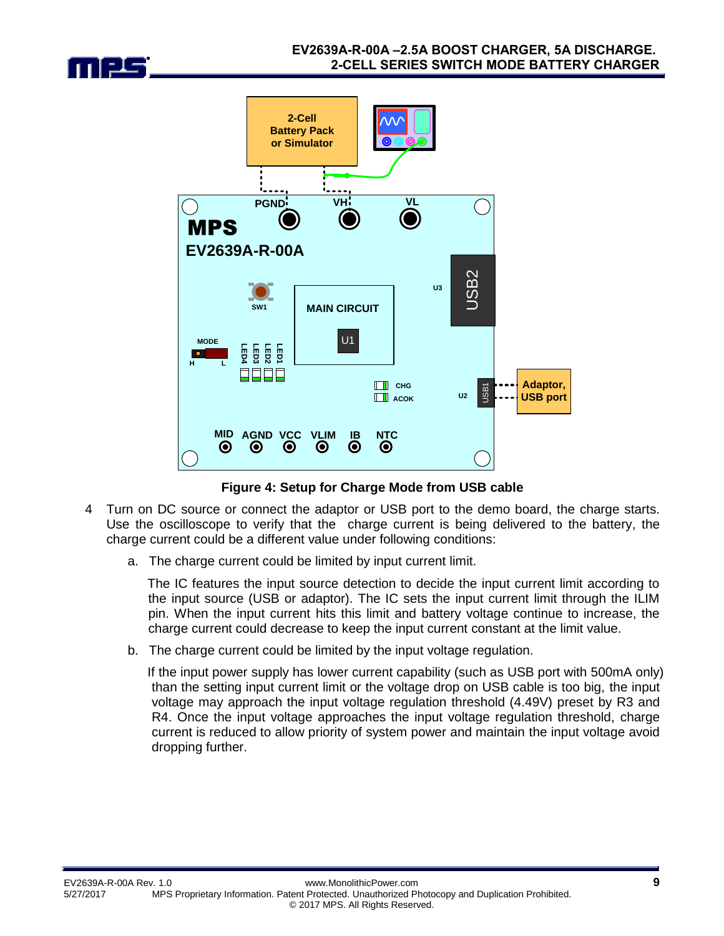



**Figure 4: Setup for Charge Mode from USB cable**

- 4 Turn on DC source or connect the adaptor or USB port to the demo board, the charge starts. Use the oscilloscope to verify that the charge current is being delivered to the battery, the charge current could be a different value under following conditions:
	- a. The charge current could be limited by input current limit.

The IC features the input source detection to decide the input current limit according to the input source (USB or adaptor). The IC sets the input current limit through the ILIM pin. When the input current hits this limit and battery voltage continue to increase, the charge current could decrease to keep the input current constant at the limit value.

b. The charge current could be limited by the input voltage regulation.

If the input power supply has lower current capability (such as USB port with 500mA only) than the setting input current limit or the voltage drop on USB cable is too big, the input voltage may approach the input voltage regulation threshold (4.49V) preset by R3 and R4. Once the input voltage approaches the input voltage regulation threshold, charge current is reduced to allow priority of system power and maintain the input voltage avoid dropping further.